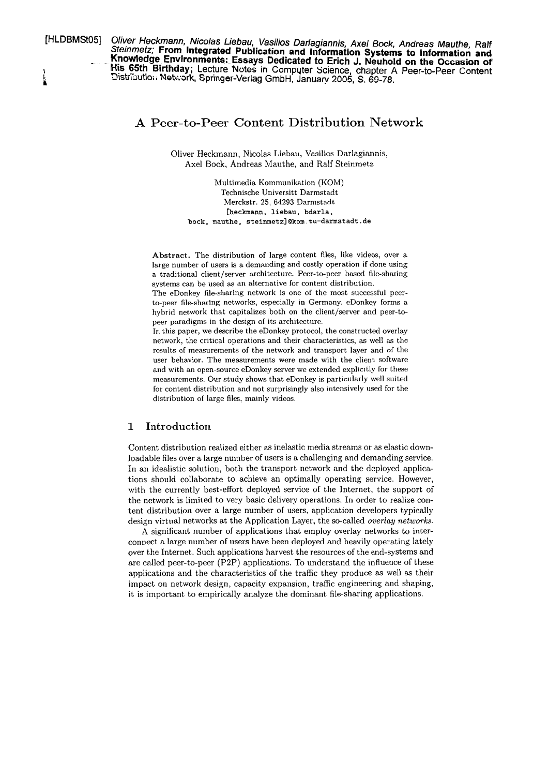**[HLDBMCMS] Oliver Heckmann, Nicolas Liebau, Vasilios Darlagiannis, Axel Bock, Andreas Mauthe, Ralf Steinmetz; From lntegrated Publication and lnformation Systems to lnformation and Knowledge Environments: Essays Dedicated to Erich J. Neuhold on the Occasion of** I **His 65th Birthday;** Lecture Notes in Computer Science, chapter A Peer-to-Peer Content Distribution Network, Springer-Verlag GmbH, January 2005, S. 69-78.

# **A** Peer-to-Peer Content Distribution Network

Oliver Heckmann, Nicolas Liebau, Vasilios Darlagiannis, Axel Bock, Andreas Mauthe, and Ralf Steinmetz

Multimedia Kommunikation (KOM) Technische Universitt Darmstadt Merckstr. 25, **64293** Darmstadt [heckmann, liebau, bdarla, bock, mauthe, **steinmetz](Okom.tu-darmstadt.de** 

**Abstract.** The distribution of large content files, like videos, over a large number of users is a demanding and costly operation if done using a traditional client/server architecture. Peer-to-peer based file-sharing systems can be used as an alternative for content distribution.

The eDonkey file-sharing network is one of the most successful peerto-peer file-sharing networks, especially in Germany. eDonkey forms a hybrid network that capitalizes both on the client/server and peer-topeer paradigms in the design of its architecture.

In this paper, we describe the eDonkey protocol, the constructed overlay network, the critical operations and tlieir characteristics, as well **as** the results of measurements of the network and transport layer and of the user behavior. The measurements were made with the client software and with an open-source eDonkey Server we extended explicitly for these measurements. Our study shows that eDonkey is particularly well suited for content distribution and not surprisingly also intensively used for the distribution of large files, mainly videos.

# **1** Introduction

Content distribution realized either as inelastic media streams or as elastic downloadable files over a large number of users is a challenging and demanding service. In an idealistic solution, both the transport network and the deployed applications should collaborate to achieve an optimally operating service. However, with the currently best-effort deployed service of the Internet, the support of the network is limited to very basic delivery operations. In order to realize content distribution over a large number of users, application developers typically design virtual networks at the Application Layer, the so-called *overlay networks.* 

A significant number of applications that employ overlay networks to interconnect a large number of users have been deployed and heavily operating lately over the Internet. Such applications harvest the resources of the end-systems and are called peer-to-peer (P2P) applications. To understand the influence of these applications and the characteristics of the traffic they produce as well as their impact on network design, capacity expansion, traffic engineering and shaping, it is important to empirically analyze the dominant file-sharing applications.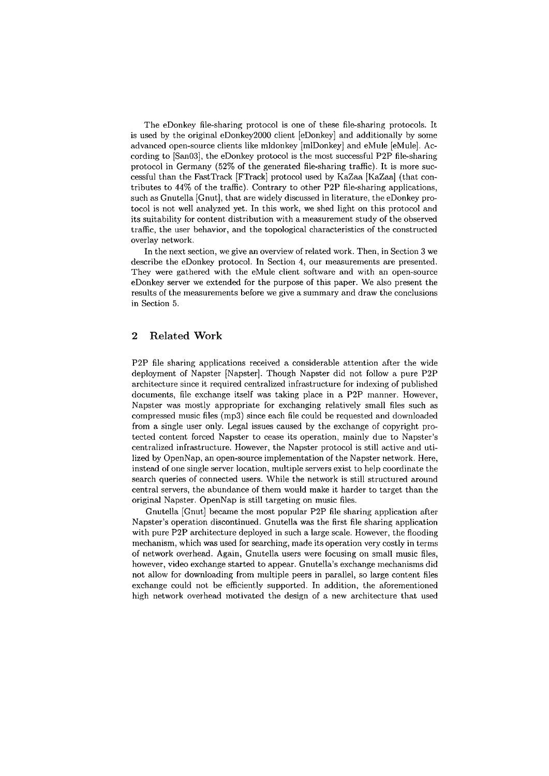The eDonkey file-sharing protocol is one of these file-sharing protocols. It is used by the original eDonkey2000 client [eDonkey] and additionally by some advanced open-source clients like mldonkey [mlDonkey] and eMule [eMule]. According to [San03], the eDonkey protocol is the most successful P2P file-sharing protocol in Germany (52% of the generated file-sharing traffic). It is more successful than the FastTrack [FTrack] protocol used by KaZaa [KaZaa] (that contributes to 44% of the traffic). Contrary to other P2P file-sharing applications, such as Gnutella [Gnut], that are widely discussed in literature, the eDonkey protocol is not well analyzed yet. In this work, we shed light on this protocol and its suitability for content distribution with a measurement study of the observed traffic, the user behavior, and the topological characteristics of the constructed overlay network.

In the next section, we give an overview of related work. Then, in Section **3** we describe the eDonkey protocol. In Section 4, our measurements are presented. They were gathered with the eMule client software and with an open-source eDonkey server we extended for the purpose of this paper. We also present the results of the measurements before we give a Summary and draw the conclusions in Section 5.

# **2** Related **Work**

P2P file sharing applications received a considerable attention after the wide deployment of Napster [Napster]. Though Napster did not follow a pure P2P architecture since it required centralized infrastructure for indexing of published documents, file exchange itself was taking place in a P2P manner. However, Napster was mostly appropriate for exchanging relatively small files such as compressed music files (mp3) since each file could be requested and downloaded from a single user only. Legal issues caused by the exchange of copyright protected content forced Napster to cease its operation, mainly due to Napster's centralized infrastructure. However, the Napster protocol is still active and utilized by OpenNap, an open-source implementation of the Napster network. Here, instead of one single server location, multiple servers exist to help coordinate the search queries of connected users. While the network is still structured around central servers, the abundance of them would make it harder to target than the original Napster. OpenNap is still targeting on music files.

Gnutella [Gnut] became the most popular P2P file sharing application after Napster's operation discontinued. Gnutella was the first file sharing application with pure P2P architecture deployed in such a large scale. However, the flooding mechanism, which was used for searching, made its operation very costly in terms of network overhead. Again, Gnutella users were focusing on small music files, however, video exchange started to appear. Gnutella's exchange mechanisms did not allow for downloading from multiple peers in parallel, so large content files exchange could not be efficiently supported. In addition, the aforementioned high network overhead motivated the design of a new architecture that used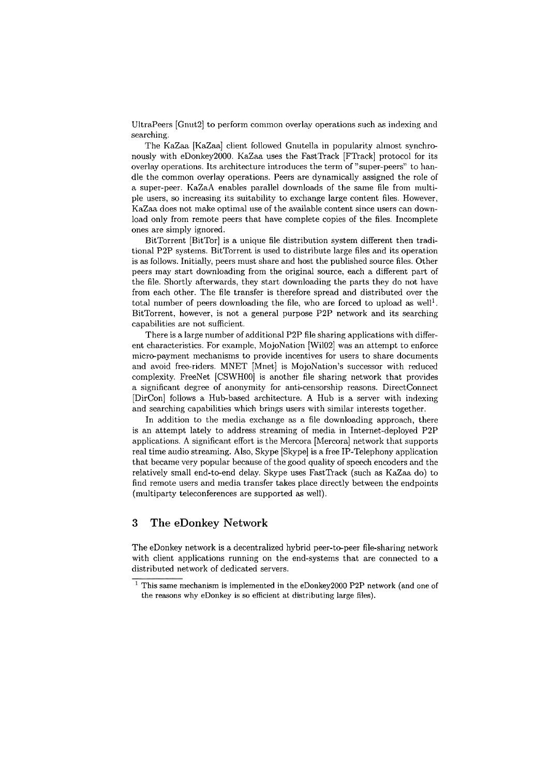UltraPeers [Gnut2] to perform common overlay operations such as indexing and searching.

The KaZaa [KaZaa] client followed Gnutella in popularity almost synchronously with eDonkey2000. KaZaa uses the FastTrack [FTrack] protocol for its overlay operations. Its architecture introduces the term of "super-peers" to handle the common overlay operations. Peers are dynamically assigned the role of a super-peer. KaZaA enables parallel downloads of the same file from multiple users, so increasing its suitability to exchange large content files. However, KaZaa does not make optimal use of the available content since users can download only from remote peers that have complete copies of the files. Incomplete ones are simply ignored.

BitTorrent [BitTor] is a unique file distribution system different then traditional P2P systems. BitTorrent is used to distribute large files and its operation is as follows. Initially, peers must share and host the published source files. Other peers may start downloading from the original source, each a different part of the file. Shortly afterwards, they start downloading the parts they do not have from each other. The file transfer is therefore spread and distributed over the total number of peers downloading the file, who are forced to upload as well<sup>1</sup>. BitTorrent, however, is not a general purpose P2P network and its searching capabilities are not sufficient.

There is a large number of additional P2P file sharing applications with different characteristics. For example, MojoNation [Wil02] was an attempt to enforce micro-payment inechanisms to provide incentives for users to share documents and avoid free-riders. MNET [Mnet] is MojoNation's successor with reduced complexity. FreeNet [CSWH00] is another file sharing network that provides a significant degree of anonymity for anti-censorship reasons. DirectConnect [DirCon] follows a Hub-based arcliitecture. **A** Hub is a Server with indexing and searching capabilities which brings users with similar interests together.

In addition to the media exchange as a file downloading approach, there is an attempt lately to address streaming of media in Internet-deployed P2P applications. A significant effort is the Mercora [Mercora] network that supports real time audio streaming. Also, Skype [Skype] is a free IP-Telephony application that became very popular because of the good quality of speech encoders and the relatively small end-to-end delay. Skype uses FastTrack (such as KaZaa do) to find remote users and media transfer takes place directly between the endpoints (multiparty teleconferences are supported as well).

## **3 The eDonkey Network**

The eDonkey network is a decentralized hybrid peer-to-peer file-sharing network with client applications running on the end-systems that are connected to a distributed network of dedicated servers.

 $1$  This same mechanism is implemented in the eDonkey2000 P2P network (and one of the reasons why eDonkey is so efficient at distributing large files).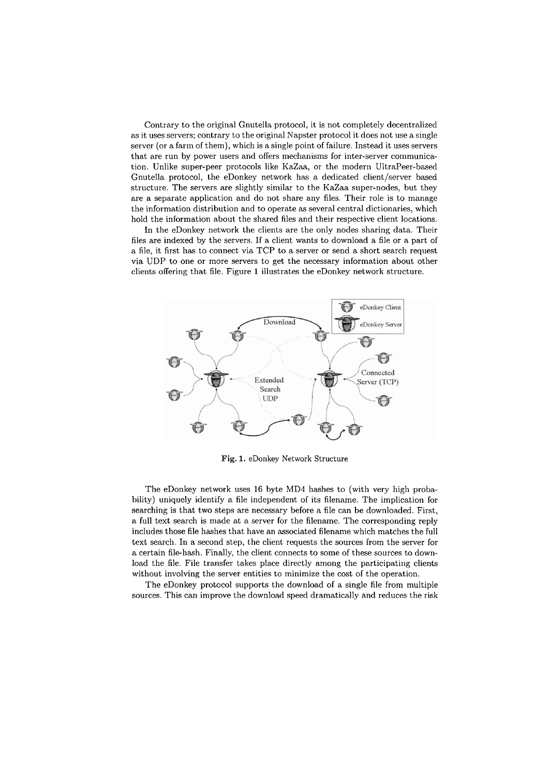Contrary to the original Gnutella protocol, it is not completely decentralized as it uses servers; contrary to the original Napster protocol it does not use a single server (or a farm of them), which is a single point of failure. Instead it uses servers that are run by power users and offers mechanisms for inter-server communication. Unlike super-peer protocols like KaZaa, or the modern UltraPeer-based Gnutella protocol, the eDonkey network has a dedicated client/server based structure. The servers are slightly similar to the KaZaa super-nodes, but they are a separate application and do not share any files. Their role is to manage the information distribution and to operate as several central dictionaries, which hold the information about the shared files and their respective client locations.

In the eDonkey network the clients are the only nodes sharing data. Their files are indexed by the servers. If a client wants to download a file or a part of a file, it first has to connect via TCP to a server or send a short search request via UDP to one or more servers to get the necessary information about other clients offering that file. Figure 1 illustrates the eDonkey network structure.



**Fig.** 1. eDonkey Network Structure

The eDonkey network uses 16 byte MD4 hashes to (with very high probability) uniquely identify a file independent of its filename. The implication for searching is that two steps are necessary before a file can be downloaded. First, a full text search is made at a server for the filename. The corresponding reply includes those file hashes that have an associated filename which matches the full text search. In a second step, the client requests the sources from the server for a certain file-hash. Finally, the client connects to some of these sources to download the file. File transfer takes place directly among the participating clients without involving the server entities to minimize the cost of the operation.

The eDonkey protocol supports the download of a single file from multiple sources. This can improve the download speed dramatically and reduces the risk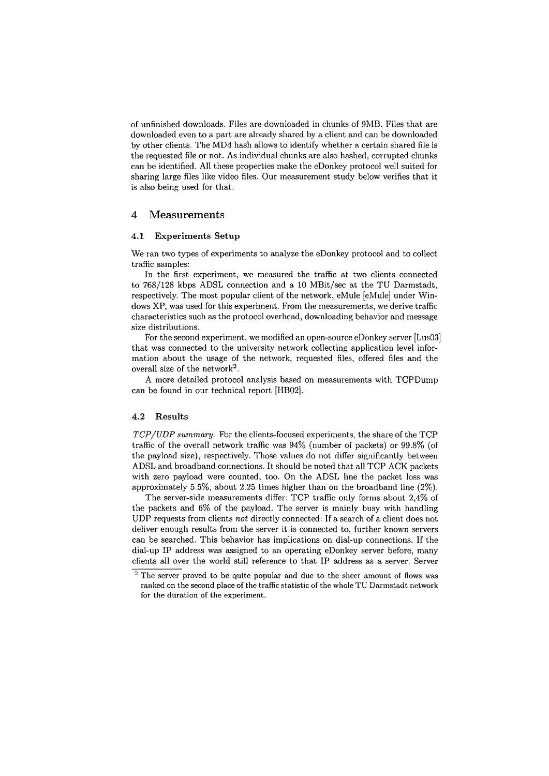of unfinished downloads. Files are downloaded in chunks of 9MB. Files that are downloaded even to a part are already shared by a client and can be downloaded by other clients. The MD4 hash allows to identify whether a certain shared file is the requested file or not. As individual chunks are also hashed, corrupted chunks can be identified. All these properties make the eDonkey protocol well suited for sharing large files like video files. Our measurement study below verifies that it is also being used for that.

### **4 Measurements**

#### **4.1 Experiments Setup**

We ran two types of experiments to analyze the eDonkey protocol and to collect traffic samples:

In the first experiment, we measured the traffic at two clients connected to 768/128 kbps ADSL connection and a 10 MBit/sec at the TU Darmstadt, respectively. The most popular client of the network, eMule [eMule] under Windows XP, was used for this experiment. From the measurements, we derive traffic characteristics such as the protocol overhead, downloading behavior and message size distributions.

For the second experiment, we modified an open-source eDonkey server [Lus03] that was connected to the university network collecting application level information about the usage of the network, requested files, offered files and the overall size of the network2.

A more detailed protocol analysis based on measurements with TCPDump can be found in our technical report [HB02].

### **4.2 Results**

*TCP/UDP Summary.* For the clients-focused experiments, the share of the TCP traffic of the overall network traffic was 94% (number of packets) or 99.8% (of the payload size), respectively. Those values do not differ significantly between ADSL and broadband connections. It should be noted that all TCP ACK packets with zero payload were counted, too. On the ADSL line the packet loss was approximately 5.5%, about 2.25 times higher than on the broadband line (2%).

The server-side measurements differ: TCP traffic only forms about 2,4% of the packets and 6% of the payload. The server is mainly busy with handling UDP requests from clients not directly connected: If a search of a client does not deliver enough results from the server it is connected to, further known servers can be searched. This behavior has implications on dial-up connections. If the dial-up IP address was assigned to an operating eDonkey server before, many clients all over the world still reference to that IP address as a server. Server

 $2$  The server proved to be quite popular and due to the sheer amount of flows was ranked on the second place of the traffic statistic of the whole TU Darmstadt network for the duration of the experiment.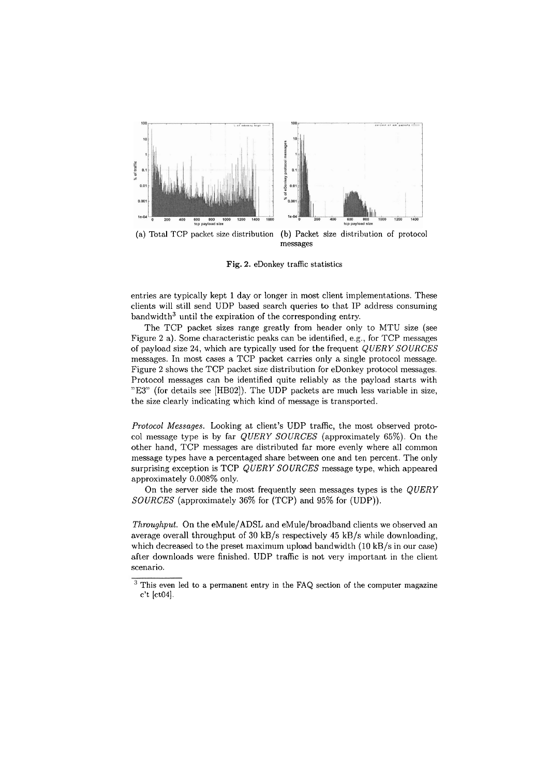

**Fig.** 2. eDonkey traffic statistics

entries are typically kept 1 day or longer in most client implementations. These clients will still send UDP based search queries to that IP address consuming  $bandwidth<sup>3</sup>$  until the expiration of the corresponding entry.

The TCP packet sizes range greatly from header only to MTU size (see Figure 2 a). Some characteristic peaks can be identified, e.g., for TCP messages of payload size 24, which are typically used for the frequent *QUERY SOURCES*  messages. In most cases a TCP packet carries only a single protocol message. Figure 2 shows the TCP packet size distribution for eDonkey protocol messages. Protocol messages can be identified quite reliably as the payload starts with "E3" (for details see [HB02]). The UDP packets are much less variable in size, the size clearly indicating which kind of message is transported.

*Protocol* Messages. Looking at client's UDP traffic, the most observed protocol message type is by far *QUERY SOURCES* (approximately 65%). On the other hand, TCP messages are distributed far more evenly where all common message types have **a** percentaged share between one and ten percent. Tlie only surprising exception is TCP *QUERY SOURCES* message type, which appeared approximately 0.008% only.

On the server side the most frequently seen messages types is the *QUERY SOURCES* (approximately 36% for (TCP) and 95% for (UDP)).

Throughput. On the eMule/ADSL and eMule/broadband clients we observed an average overall throughput of 30 kB/s respectively 45 kB/s while downloading, which decreased to the preset maximum upload bandwidth (10 kB/s in our case) after downloads were finished. UDP traffic is not very important in the client scenario.

<sup>&</sup>lt;sup>3</sup> This even led to a permanent entry in the FAQ section of the computer magazine c't [ct04].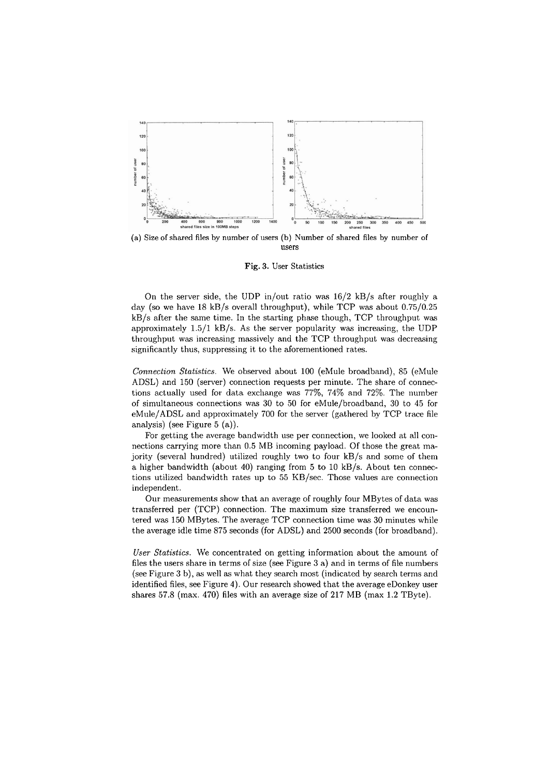

(a) Size of shared **files** hy number of users (b) Number of shared files hy number of Users

**Fig.** 3. User Statistics

On the server side, the UDP in/out ratio was  $16/2$  kB/s after roughly a day (so we have 18 kB/s overall throughput), while TCP was about 0.75/0.25 kB/s after the Same time. In the starting phase though, TCP throughput was approximately  $1.5/1$  kB/s. As the server popularity was increasing, the UDP throughput was increasing massively and the TCP throughput was decreasing significantly thus, suppressing it to the aforementioned rates.

*Connection Statistics.* We observed about 100 (eMule broadband), 85 (eMule ADSL) and 150 (server) connection requests per minute. The share of connections actually used for data exchange was 77%, 74% and 72%. The number of simultaneous connections was  $30$  to  $50$  for eMule/broadband,  $30$  to  $45$  for  $e$ Mule/ADSL and approximately 700 for the server (gathered by TCP trace file analysis) (see Figure 5 (a)).

For getting the average bandwidth use per connection, we looked at all connections carrying more than 0.5 MB incoming payload. Of those the great majority (several hundred) utilized roughly two to four kB/s and some of them a higher bandwidth (about 40) ranging from 5 to 10 kB/s. About ten connections utilized bandwidth rates up to  $55$  KB/sec. Those values are connection independent.

Our measurements show that an average of roughly four MBytes of data was transferred per (TCP) connection. The maximum size transferred we encountered wac 150 MBytes. The average TCP connection time was 30 minutes while the average idle time 875 seconds (for ADSL) and 2500 seconds (for broadband).

*User Statistics.* We concentrated on getting inforination about the amount of files the users share in terms of size (see Figure 3 a) and in terms of file numbers (see Figure 3 b), as well as what they search most (indicated by search terms and identified files, see Figure 4). Our research showed that the average eDonkey user shares 57.8 (max. 470) files with an average size of 217 MB (max 1.2 TByte).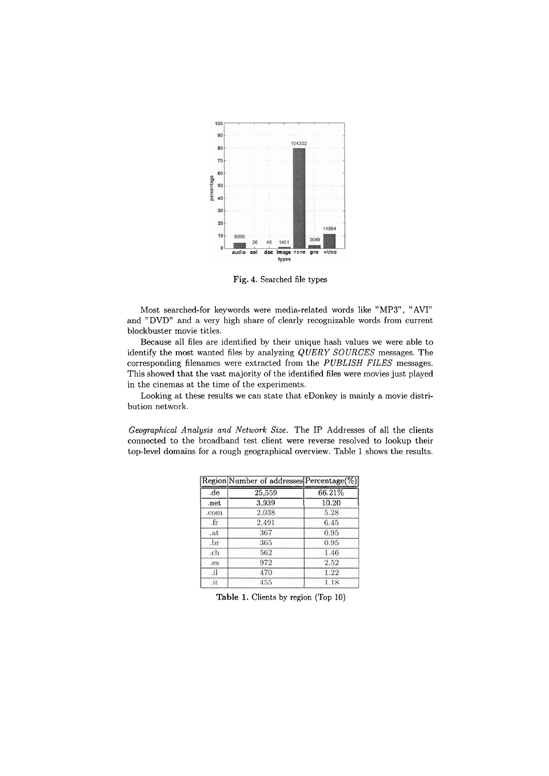

Fig. **4.** Searched file types

Most searched-for keywords were media-related words like "MP3", "AVI" and "DVD" and a very high share of clearly recognizable words from current blockbuster movie titles.

Because all files are identified by their unique hash values we were able to identify the most wanted files by analyzing QUERY *SOURCES* messages. The corresponding filenames were extracted from the *PUBLISH FILES* messages. This showed that the vast majority of the identified files were movies just played in the cinemas at the time of the experiments.

Looking at these results we can state that eDonkey is mainly a movie distribution network.

*Geographical Analysis and Network Size.* The IP Addresses of all the clients connected to the broadband test client were reverse resolved to lookup their top-level domains for a rough geographical overview. Table 1 shows the results.

|      | Region Number of addresses Percentage(%) |        |
|------|------------------------------------------|--------|
| .de  | 25,559                                   | 66.21% |
| .net | 3.939                                    | 10.20  |
| .com | 2,038                                    | 5.28   |
| .fr  | 2,491                                    | 6.45   |
| .at  | 367                                      | 0.95   |
| .br  | 365                                      | 0.95   |
| .ch  | 562                                      | 1.46   |
| .es  | 972                                      | 2.52   |
| .il  | 470                                      | 1.22   |
| .it  | 455                                      | 1.18   |

**Table** 1. Clients by region (Top 10)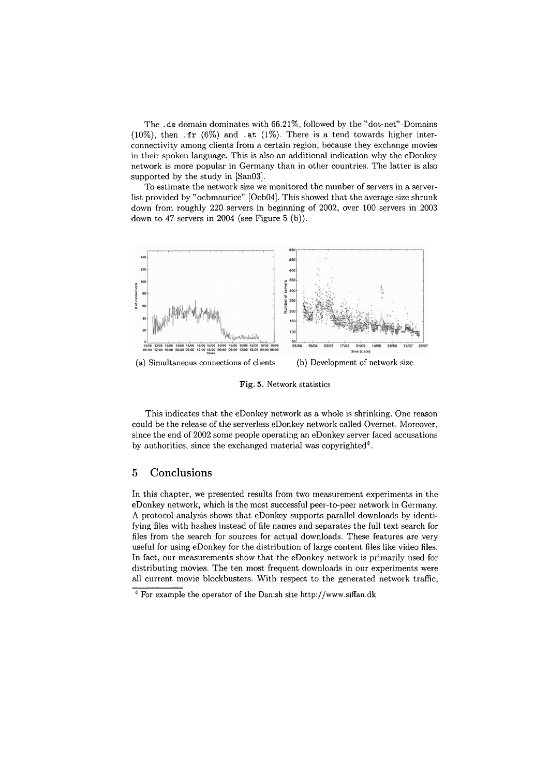The .de domain dominates with  $66.21\%$ , followed by the "dot-net"-Domains (10%), then  $\text{fr}$  (6%) and  $\text{at}$  (1%). There is a tend towards higher interconnectivity among clients from a certain region, because they exchange movies in their spoken language. This is also an additional indication why the eDonkey network is more popular in Germany than in other countries. The latter is also supported by the study in [San03].

To estimate the network size we monitored the number of servers in a serverlist provided by "ocbmaurice" [Ocb04]. This showed that the average size shrunk down from roughly 220 servers in beginning of 2002, over 100 servers in 2003 down to 47 servers in 2004 (see Figure *5* (b)).



**Fig.** 5. Network statistics

This indicates that the eDonkey network as a whole is shrinking. One reason could be the release of the serverless eDonkey network called Overnet. Moreover, since the end of 2002 some people operating an eDonkey server faced accusations by authorities, since the exchanged material was copyrighted<sup>4</sup>.

# **5** Conclusions

In this chapter, we presented results from two measurement experiments in the eDonkey network, which is the most successful peer-to-peer network in Germany. **A** protocol analysis shows that eDonkey Supports parallel downloads by identifying files with hashes instead of file names and separates the full text search for files from the search for sources for actual downloads. These features are very useful for using eDonkey for the distribution of large content files like video files. In fact, our measurements show that the eDonkey network is primarily used for distributing movies. The ten most frequent downloads in our experiments were all current movie blockbusters. With respect to the generated network traffic,

 $\frac{4}{7}$  For example the operator of the Danish site http://www.siffan.dk